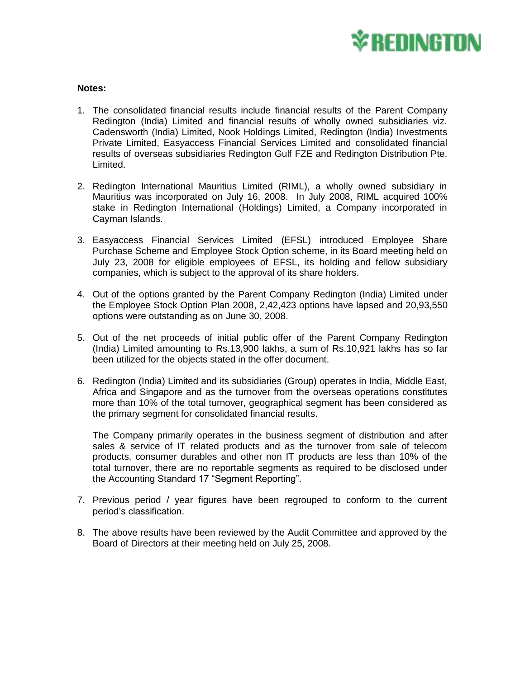

## **Notes:**

- 1. The consolidated financial results include financial results of the Parent Company Redington (India) Limited and financial results of wholly owned subsidiaries viz. Cadensworth (India) Limited, Nook Holdings Limited, Redington (India) Investments Private Limited, Easyaccess Financial Services Limited and consolidated financial results of overseas subsidiaries Redington Gulf FZE and Redington Distribution Pte. Limited.
- 2. Redington International Mauritius Limited (RIML), a wholly owned subsidiary in Mauritius was incorporated on July 16, 2008. In July 2008, RIML acquired 100% stake in Redington International (Holdings) Limited, a Company incorporated in Cayman Islands.
- 3. Easyaccess Financial Services Limited (EFSL) introduced Employee Share Purchase Scheme and Employee Stock Option scheme, in its Board meeting held on July 23, 2008 for eligible employees of EFSL, its holding and fellow subsidiary companies, which is subject to the approval of its share holders.
- 4. Out of the options granted by the Parent Company Redington (India) Limited under the Employee Stock Option Plan 2008, 2,42,423 options have lapsed and 20,93,550 options were outstanding as on June 30, 2008.
- 5. Out of the net proceeds of initial public offer of the Parent Company Redington (India) Limited amounting to Rs.13,900 lakhs, a sum of Rs.10,921 lakhs has so far been utilized for the objects stated in the offer document.
- 6. Redington (India) Limited and its subsidiaries (Group) operates in India, Middle East, Africa and Singapore and as the turnover from the overseas operations constitutes more than 10% of the total turnover, geographical segment has been considered as the primary segment for consolidated financial results.

The Company primarily operates in the business segment of distribution and after sales & service of IT related products and as the turnover from sale of telecom products, consumer durables and other non IT products are less than 10% of the total turnover, there are no reportable segments as required to be disclosed under the Accounting Standard 17 "Segment Reporting".

- 7. Previous period / year figures have been regrouped to conform to the current period's classification.
- 8. The above results have been reviewed by the Audit Committee and approved by the Board of Directors at their meeting held on July 25, 2008.